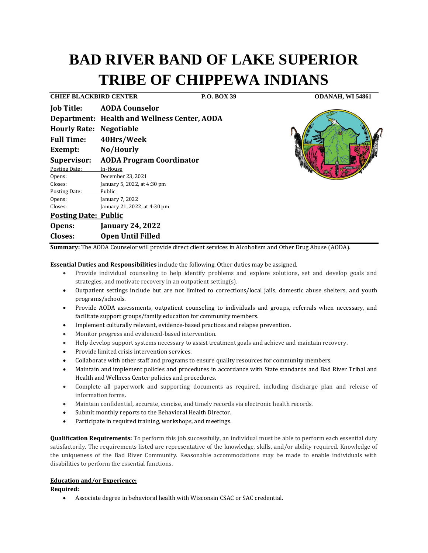# **BAD RIVER BAND OF LAKE SUPERIOR TRIBE OF CHIPPEWA INDIANS**

**Job Title: AODA Counselor** 

**Closes: Open Until Filled**

**CHIEF BLACKBIRD CENTER P.O. BOX 39 ODANAH, WI 54861**

|                                | <b>Job Title: AODA Counselor</b>                    |
|--------------------------------|-----------------------------------------------------|
|                                | <b>Department: Health and Wellness Center, AODA</b> |
| <b>Hourly Rate: Negotiable</b> |                                                     |
| <b>Full Time:</b>              | 40Hrs/Week                                          |
| Exempt:                        | No/Hourly                                           |
| <b>Supervisor:</b>             | <b>AODA Program Coordinator</b>                     |
| Posting Date:                  | In-House                                            |
| Opens:                         | December 23, 2021                                   |
| Closes:                        | January 5, 2022, at 4:30 pm                         |
| Posting Date:                  | Public                                              |
| Opens:                         | January 7, 2022                                     |
| Closes:                        | January 21, 2022, at 4:30 pm                        |
| <b>Posting Date: Public</b>    |                                                     |
| Opens:                         | <b>January 24, 2022</b>                             |



**Summary:** The AODA Counselor will provide direct client services in Alcoholism and Other Drug Abuse (AODA).

## **Essential Duties and Responsibilities** include the following. Other duties may be assigned.

- Provide individual counseling to help identify problems and explore solutions, set and develop goals and strategies, and motivate recovery in an outpatient setting(s).
- Outpatient settings include but are not limited to corrections/local jails, domestic abuse shelters, and youth programs/schools.
- Provide AODA assessments, outpatient counseling to individuals and groups, referrals when necessary, and facilitate support groups/family education for community members.
- Implement culturally relevant, evidence-based practices and relapse prevention.
- Monitor progress and evidenced-based intervention.
- Help develop support systems necessary to assist treatment goals and achieve and maintain recovery.
- Provide limited crisis intervention services.
- Collaborate with other staff and programs to ensure quality resources for community members.
- Maintain and implement policies and procedures in accordance with State standards and Bad River Tribal and Health and Wellness Center policies and procedures.
- Complete all paperwork and supporting documents as required, including discharge plan and release of information forms.
- Maintain confidential, accurate, concise, and timely records via electronic health records.
- Submit monthly reports to the Behavioral Health Director.
- Participate in required training, workshops, and meetings.

**Qualification Requirements:** To perform this job successfully, an individual must be able to perform each essential duty satisfactorily. The requirements listed are representative of the knowledge, skills, and/or ability required. Knowledge of the uniqueness of the Bad River Community. Reasonable accommodations may be made to enable individuals with disabilities to perform the essential functions.

## **Education and/or Experience:**

**Required:**

• Associate degree in behavioral health with Wisconsin CSAC or SAC credential.